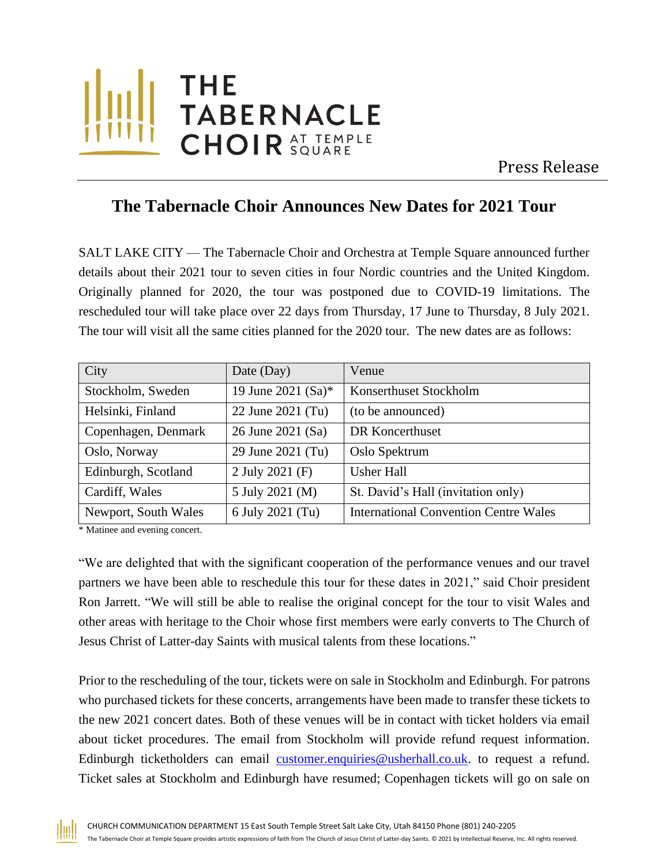

Press Release

## **The Tabernacle Choir Announces New Dates for 2021 Tour**

SALT LAKE CITY — The Tabernacle Choir and Orchestra at Temple Square announced further details about their 2021 tour to seven cities in four Nordic countries and the United Kingdom. Originally planned for 2020, the tour was postponed due to COVID-19 limitations. The rescheduled tour will take place over 22 days from Thursday, 17 June to Thursday, 8 July 2021. The tour will visit all the same cities planned for the 2020 tour. The new dates are as follows:

| City                 | Date (Day)         | Venue                                        |
|----------------------|--------------------|----------------------------------------------|
| Stockholm, Sweden    | 19 June 2021 (Sa)* | Konserthuset Stockholm                       |
| Helsinki, Finland    | 22 June 2021 (Tu)  | (to be announced)                            |
| Copenhagen, Denmark  | 26 June 2021 (Sa)  | DR Koncerthuset                              |
| Oslo, Norway         | 29 June 2021 (Tu)  | Oslo Spektrum                                |
| Edinburgh, Scotland  | 2 July 2021 (F)    | <b>Usher Hall</b>                            |
| Cardiff, Wales       | 5 July 2021 (M)    | St. David's Hall (invitation only)           |
| Newport, South Wales | 6 July 2021 (Tu)   | <b>International Convention Centre Wales</b> |

\* Matinee and evening concert.

"We are delighted that with the significant cooperation of the performance venues and our travel partners we have been able to reschedule this tour for these dates in 2021," said Choir president Ron Jarrett. "We will still be able to realise the original concept for the tour to visit Wales and other areas with heritage to the Choir whose first members were early converts to The Church of Jesus Christ of Latter-day Saints with musical talents from these locations."

Prior to the rescheduling of the tour, tickets were on sale in Stockholm and Edinburgh. For patrons who purchased tickets for these concerts, arrangements have been made to transfer these tickets to the new 2021 concert dates. Both of these venues will be in contact with ticket holders via email about ticket procedures. The email from Stockholm will provide refund request information. Edinburgh ticketholders can email [customer.enquiries@usherhall.co.uk.](mailto:customer.enquiries@usherhall.co.uk) to request a refund. Ticket sales at Stockholm and Edinburgh have resumed; Copenhagen tickets will go on sale on